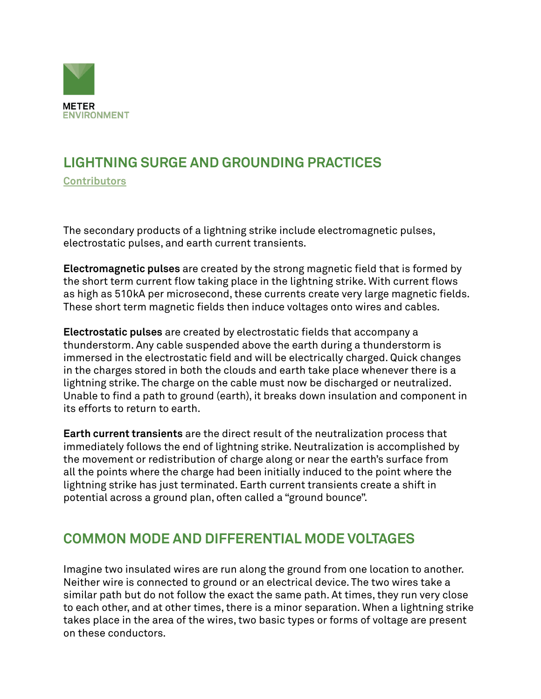

# **LIGHTNING SURGE AND GROUNDING PRACTICES**

**[Contributors](https://www.metergroup.com/meter_knowledgebase/about-us-meter-environment/)**

The secondary products of a lightning strike include electromagnetic pulses, electrostatic pulses, and earth current transients.

**Electromagnetic pulses** are created by the strong magnetic field that is formed by the short term current flow taking place in the lightning strike. With current flows as high as 510kA per microsecond, these currents create very large magnetic fields. These short term magnetic fields then induce voltages onto wires and cables.

**Electrostatic pulses** are created by electrostatic fields that accompany a thunderstorm. Any cable suspended above the earth during a thunderstorm is immersed in the electrostatic field and will be electrically charged. Quick changes in the charges stored in both the clouds and earth take place whenever there is a lightning strike. The charge on the cable must now be discharged or neutralized. Unable to find a path to ground (earth), it breaks down insulation and component in its efforts to return to earth.

**Earth current transients** are the direct result of the neutralization process that immediately follows the end of lightning strike. Neutralization is accomplished by the movement or redistribution of charge along or near the earth's surface from all the points where the charge had been initially induced to the point where the lightning strike has just terminated. Earth current transients create a shift in potential across a ground plan, often called a "ground bounce".

#### **COMMON MODE AND DIFFERENTIAL MODE VOLTAGES**

Imagine two insulated wires are run along the ground from one location to another. Neither wire is connected to ground or an electrical device. The two wires take a similar path but do not follow the exact the same path. At times, they run very close to each other, and at other times, there is a minor separation. When a lightning strike takes place in the area of the wires, two basic types or forms of voltage are present on these conductors.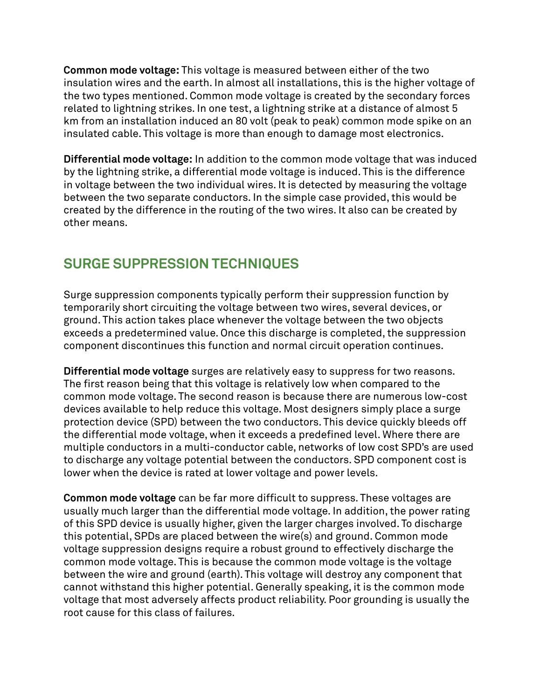**Common mode voltage:** This voltage is measured between either of the two insulation wires and the earth. In almost all installations, this is the higher voltage of the two types mentioned. Common mode voltage is created by the secondary forces related to lightning strikes. In one test, a lightning strike at a distance of almost 5 km from an installation induced an 80 volt (peak to peak) common mode spike on an insulated cable. This voltage is more than enough to damage most electronics.

**Differential mode voltage:** In addition to the common mode voltage that was induced by the lightning strike, a differential mode voltage is induced. This is the difference in voltage between the two individual wires. It is detected by measuring the voltage between the two separate conductors. In the simple case provided, this would be created by the difference in the routing of the two wires. It also can be created by other means.

### **SURGE SUPPRESSION TECHNIQUES**

Surge suppression components typically perform their suppression function by temporarily short circuiting the voltage between two wires, several devices, or ground. This action takes place whenever the voltage between the two objects exceeds a predetermined value. Once this discharge is completed, the suppression component discontinues this function and normal circuit operation continues.

**Differential mode voltage** surges are relatively easy to suppress for two reasons. The first reason being that this voltage is relatively low when compared to the common mode voltage. The second reason is because there are numerous low-cost devices available to help reduce this voltage. Most designers simply place a surge protection device (SPD) between the two conductors. This device quickly bleeds off the differential mode voltage, when it exceeds a predefined level. Where there are multiple conductors in a multi-conductor cable, networks of low cost SPD's are used to discharge any voltage potential between the conductors. SPD component cost is lower when the device is rated at lower voltage and power levels.

**Common mode voltage** can be far more difficult to suppress. These voltages are usually much larger than the differential mode voltage. In addition, the power rating of this SPD device is usually higher, given the larger charges involved. To discharge this potential, SPDs are placed between the wire(s) and ground. Common mode voltage suppression designs require a robust ground to effectively discharge the common mode voltage. This is because the common mode voltage is the voltage between the wire and ground (earth). This voltage will destroy any component that cannot withstand this higher potential. Generally speaking, it is the common mode voltage that most adversely affects product reliability. Poor grounding is usually the root cause for this class of failures.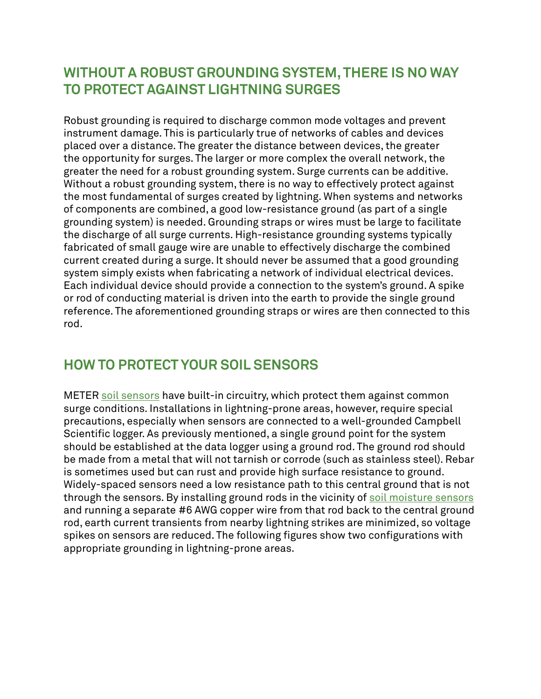#### **WITHOUT A ROBUST GROUNDING SYSTEM, THERE IS NO WAY TO PROTECT AGAINST LIGHTNING SURGES**

Robust grounding is required to discharge common mode voltages and prevent instrument damage. This is particularly true of networks of cables and devices placed over a distance. The greater the distance between devices, the greater the opportunity for surges. The larger or more complex the overall network, the greater the need for a robust grounding system. Surge currents can be additive. Without a robust grounding system, there is no way to effectively protect against the most fundamental of surges created by lightning. When systems and networks of components are combined, a good low-resistance ground (as part of a single grounding system) is needed. Grounding straps or wires must be large to facilitate the discharge of all surge currents. High-resistance grounding systems typically fabricated of small gauge wire are unable to effectively discharge the combined current created during a surge. It should never be assumed that a good grounding system simply exists when fabricating a network of individual electrical devices. Each individual device should provide a connection to the system's ground. A spike or rod of conducting material is driven into the earth to provide the single ground reference. The aforementioned grounding straps or wires are then connected to this rod.

#### **HOW TO PROTECT YOUR SOIL SENSORS**

METER [soil sensors](https://www.metergroup.com/environment/products/teros-12/) have built-in circuitry, which protect them against common surge conditions. Installations in lightning-prone areas, however, require special precautions, especially when sensors are connected to a well-grounded Campbell Scientific logger. As previously mentioned, a single ground point for the system should be established at the data logger using a ground rod. The ground rod should be made from a metal that will not tarnish or corrode (such as stainless steel). Rebar is sometimes used but can rust and provide high surface resistance to ground. Widely-spaced sensors need a low resistance path to this central ground that is not through the sensors. By installing ground rods in the vicinity of [soil moisture sensors](https://www.metergroup.com/meter_knowledgebase/which-soil-sensor-is-perfect-for-you/) and running a separate #6 AWG copper wire from that rod back to the central ground rod, earth current transients from nearby lightning strikes are minimized, so voltage spikes on sensors are reduced. The following figures show two configurations with appropriate grounding in lightning-prone areas.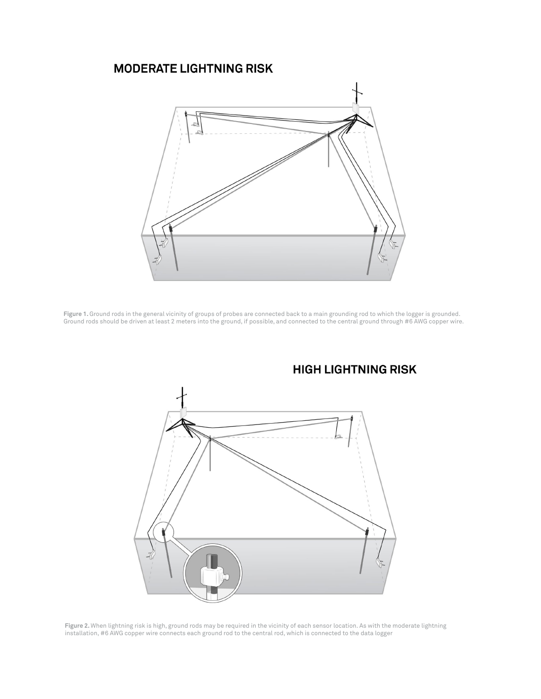#### **MODERATE LIGHTNING RISK**



**Figure 1.** Ground rods in the general vicinity of groups of probes are connected back to a main grounding rod to which the logger is grounded. Ground rods should be driven at least 2 meters into the ground, if possible, and connected to the central ground through #6 AWG copper wire.



#### **HIGH LIGHTNING RISK**

**Figure 2.** When lightning risk is high, ground rods may be required in the vicinity of each sensor location. As with the moderate lightning installation, #6 AWG copper wire connects each ground rod to the central rod, which is connected to the data logger